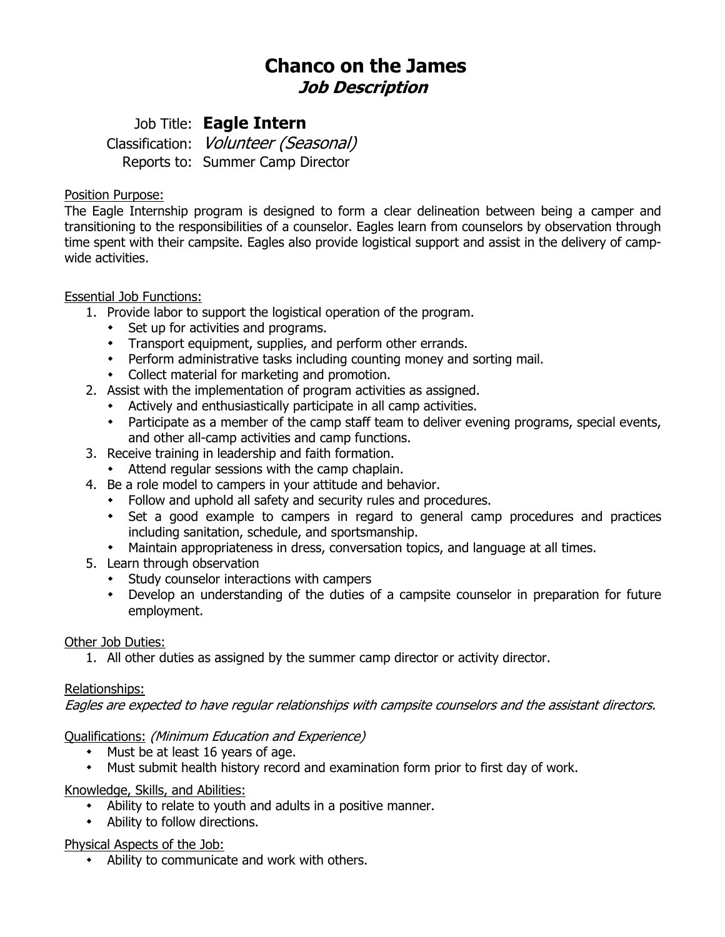# **Chanco on the James Job Description**

# Job Title: **Eagle Intern**

Classification: Volunteer (Seasonal) Reports to: Summer Camp Director

### Position Purpose:

The Eagle Internship program is designed to form a clear delineation between being a camper and transitioning to the responsibilities of a counselor. Eagles learn from counselors by observation through time spent with their campsite. Eagles also provide logistical support and assist in the delivery of campwide activities.

## Essential Job Functions:

- 1. Provide labor to support the logistical operation of the program.
	- \* Set up for activities and programs.
	- Transport equipment, supplies, and perform other errands.
	- Perform administrative tasks including counting money and sorting mail.
	- Collect material for marketing and promotion.
- 2. Assist with the implementation of program activities as assigned.
	- Actively and enthusiastically participate in all camp activities.
	- Participate as a member of the camp staff team to deliver evening programs, special events, and other all-camp activities and camp functions.
- 3. Receive training in leadership and faith formation.
	- Attend regular sessions with the camp chaplain.
- 4. Be a role model to campers in your attitude and behavior.
	- Follow and uphold all safety and security rules and procedures.
	- Set a good example to campers in regard to general camp procedures and practices including sanitation, schedule, and sportsmanship.
	- Maintain appropriateness in dress, conversation topics, and language at all times.
- 5. Learn through observation
	- Study counselor interactions with campers
	- Develop an understanding of the duties of a campsite counselor in preparation for future employment.

#### Other Job Duties:

1. All other duties as assigned by the summer camp director or activity director.

#### Relationships:

Eagles are expected to have regular relationships with campsite counselors and the assistant directors.

## Qualifications: (Minimum Education and Experience)

- $\cdot$  Must be at least 16 years of age.
- Must submit health history record and examination form prior to first day of work.

#### Knowledge, Skills, and Abilities:

- Ability to relate to youth and adults in a positive manner.
- Ability to follow directions.

#### Physical Aspects of the Job:

Ability to communicate and work with others.